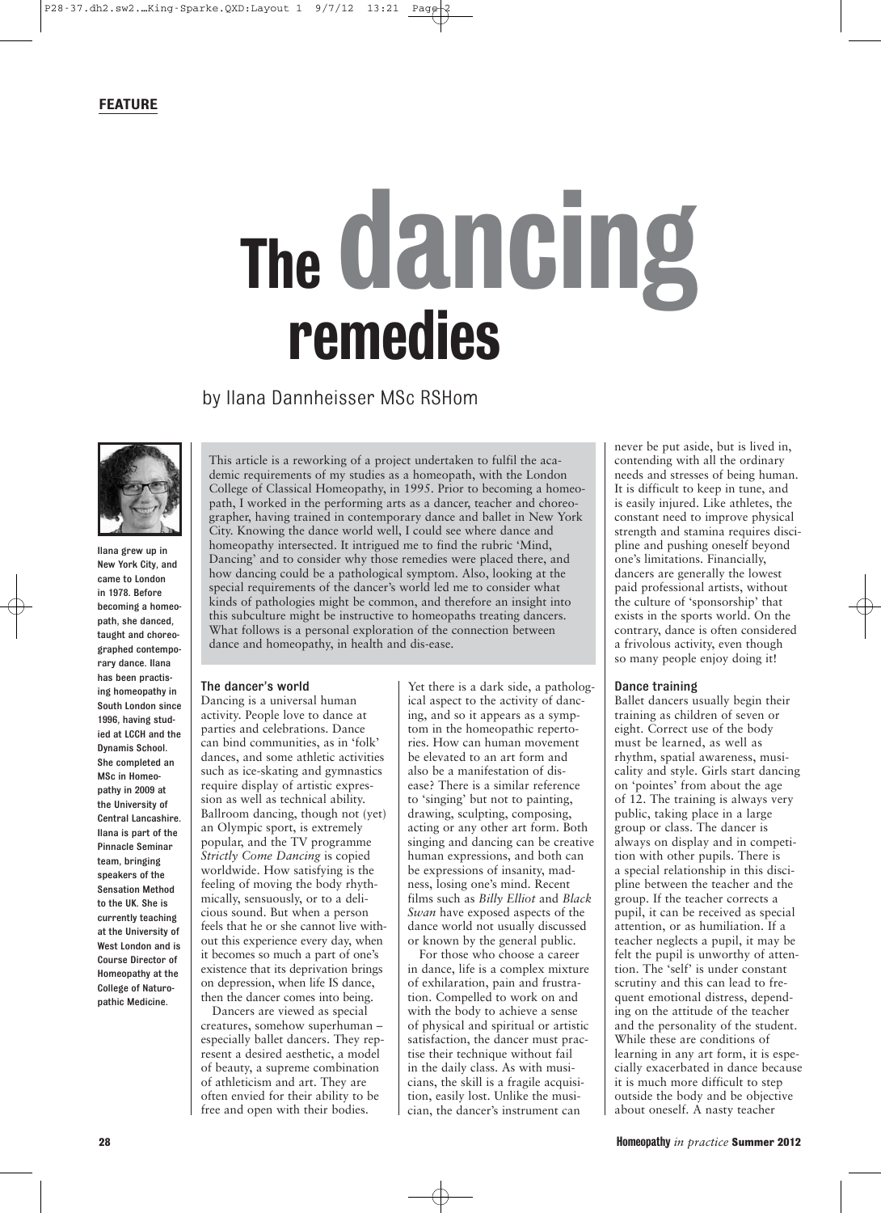## The dancing remedies

by Ilana Dannheisser MSc RSHom



Ilana grew up in New York City, and came to London in 1978. Before becoming a homeopath, she danced, taught and choreographed contemporary dance. Ilana has been practising homeopathy in South London since 1996, having studied at LCCH and the Dynamis School. She completed an MSc in Homeopathy in 2009 at the University of Central Lancashire. Ilana is part of the Pinnacle Seminar team, bringing speakers of the Sensation Method to the UK. She is currently teaching at the University of West London and is Course Director of Homeopathy at the College of Naturopathic Medicine.

This article is a reworking of a project undertaken to fulfil the academic requirements of my studies as a homeopath, with the London College of Classical Homeopathy, in 1995. Prior to becoming a homeopath, I worked in the performing arts as a dancer, teacher and choreographer, having trained in contemporary dance and ballet in New York City. Knowing the dance world well, I could see where dance and homeopathy intersected. It intrigued me to find the rubric 'Mind, Dancing' and to consider why those remedies were placed there, and how dancing could be a pathological symptom. Also, looking at the special requirements of the dancer's world led me to consider what kinds of pathologies might be common, and therefore an insight into this subculture might be instructive to homeopaths treating dancers. What follows is a personal exploration of the connection between dance and homeopathy, in health and dis-ease.

## The dancer's world

Dancing is a universal human activity. People love to dance at parties and celebrations. Dance can bind communities, as in 'folk' dances, and some athletic activities such as ice-skating and gymnastics require display of artistic expression as well as technical ability. Ballroom dancing, though not (yet) an Olympic sport, is extremely popular, and the TV programme *Strictly Come Dancing* is copied worldwide. How satisfying is the feeling of moving the body rhythmically, sensuously, or to a delicious sound. But when a person feels that he or she cannot live without this experience every day, when it becomes so much a part of one's existence that its deprivation brings on depression, when life IS dance, then the dancer comes into being.

Dancers are viewed as special creatures, somehow superhuman – especially ballet dancers. They represent a desired aesthetic, a model of beauty, a supreme combination of athleticism and art. They are often envied for their ability to be free and open with their bodies.

Yet there is a dark side, a pathological aspect to the activity of dancing, and so it appears as a symptom in the homeopathic repertories. How can human movement be elevated to an art form and also be a manifestation of disease? There is a similar reference to 'singing' but not to painting, drawing, sculpting, composing, acting or any other art form. Both singing and dancing can be creative human expressions, and both can be expressions of insanity, madness, losing one's mind. Recent films such as *Billy Elliot* and *Black Swan* have exposed aspects of the dance world not usually discussed or known by the general public.

For those who choose a career in dance, life is a complex mixture of exhilaration, pain and frustration. Compelled to work on and with the body to achieve a sense of physical and spiritual or artistic satisfaction, the dancer must practise their technique without fail in the daily class. As with musicians, the skill is a fragile acquisition, easily lost. Unlike the musician, the dancer's instrument can

never be put aside, but is lived in, contending with all the ordinary needs and stresses of being human. It is difficult to keep in tune, and is easily injured. Like athletes, the constant need to improve physical strength and stamina requires discipline and pushing oneself beyond one's limitations. Financially, dancers are generally the lowest paid professional artists, without the culture of 'sponsorship' that exists in the sports world. On the contrary, dance is often considered a frivolous activity, even though so many people enjoy doing it!

### Dance training

Ballet dancers usually begin their training as children of seven or eight. Correct use of the body must be learned, as well as rhythm, spatial awareness, musicality and style. Girls start dancing on 'pointes' from about the age of 12. The training is always very public, taking place in a large group or class. The dancer is always on display and in competition with other pupils. There is a special relationship in this discipline between the teacher and the group. If the teacher corrects a pupil, it can be received as special attention, or as humiliation. If a teacher neglects a pupil, it may be felt the pupil is unworthy of attention. The 'self' is under constant scrutiny and this can lead to frequent emotional distress, depending on the attitude of the teacher and the personality of the student. While these are conditions of learning in any art form, it is especially exacerbated in dance because it is much more difficult to step outside the body and be objective about oneself. A nasty teacher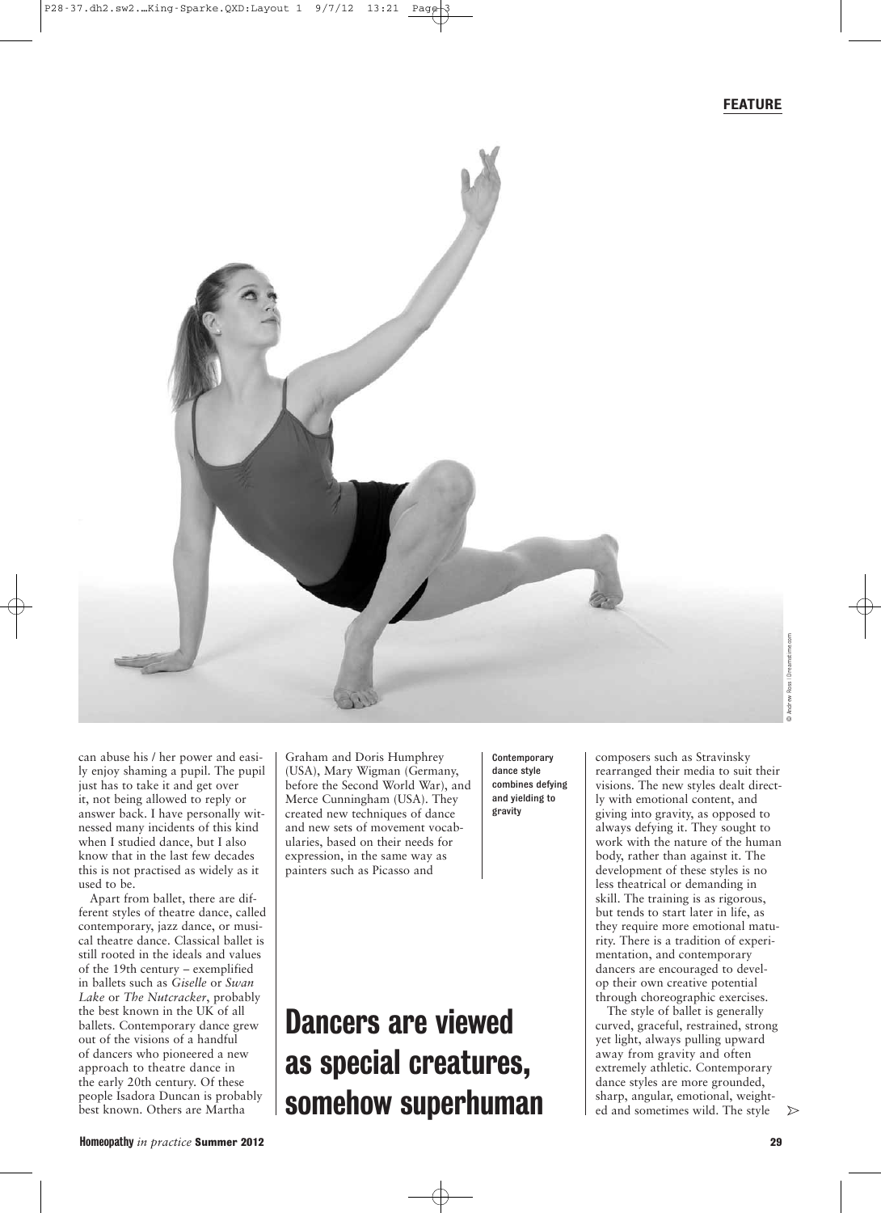

© Andrew Ross | Dreamstime.com Ross<sub>I</sub> ndrew

can abuse his / her power and easily enjoy shaming a pupil. The pupil just has to take it and get over it, not being allowed to reply or answer back. I have personally witnessed many incidents of this kind when I studied dance, but I also know that in the last few decades this is not practised as widely as it used to be.

Apart from ballet, there are different styles of theatre dance, called contemporary, jazz dance, or musical theatre dance. Classical ballet is still rooted in the ideals and values of the 19th century – exemplified in ballets such as *Giselle* or *Swan Lake* or *The Nutcracker*, probably the best known in the UK of all ballets. Contemporary dance grew out of the visions of a handful of dancers who pioneered a new approach to theatre dance in the early 20th century. Of these people Isadora Duncan is probably best known. Others are Martha

Graham and Doris Humphrey (USA), Mary Wigman (Germany, before the Second World War), and Merce Cunningham (USA). They created new techniques of dance and new sets of movement vocabularies, based on their needs for expression, in the same way as painters such as Picasso and

Dancers are viewed

as special creatures,

somehow superhuman

**Contemporary** dance style combines defying and yielding to gravity

composers such as Stravinsky rearranged their media to suit their visions. The new styles dealt directly with emotional content, and giving into gravity, as opposed to always defying it. They sought to work with the nature of the human body, rather than against it. The development of these styles is no less theatrical or demanding in skill. The training is as rigorous, but tends to start later in life, as they require more emotional maturity. There is a tradition of experimentation, and contemporary dancers are encouraged to develop their own creative potential through choreographic exercises.

The style of ballet is generally curved, graceful, restrained, strong yet light, always pulling upward away from gravity and often extremely athletic. Contemporary dance styles are more grounded, sharp, angular, emotional, weight- $\triangleright$ ed and sometimes wild. The style

## Homeopathy *in practice* **Summer 2012 29**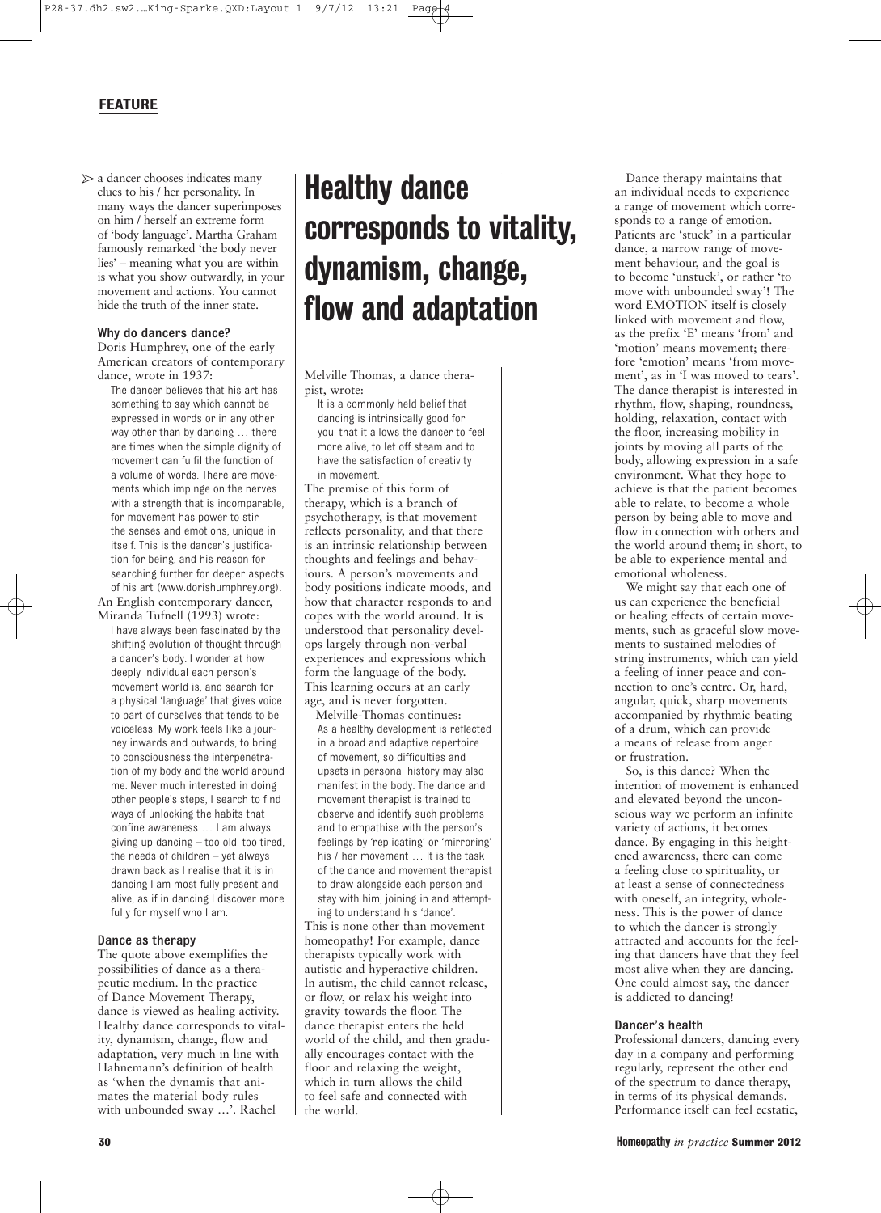$\triangleright$  a dancer chooses indicates many clues to his / her personality. In many ways the dancer superimposes on him / herself an extreme form of 'body language'. Martha Graham famously remarked 'the body never lies' – meaning what you are within is what you show outwardly, in your movement and actions. You cannot hide the truth of the inner state.

## Why do dancers dance?

Doris Humphrey, one of the early American creators of contemporary dance, wrote in 1937:

The dancer believes that his art has something to say which cannot be expressed in words or in any other way other than by dancing … there are times when the simple dignity of movement can fulfil the function of a volume of words. There are movements which impinge on the nerves with a strength that is incomparable, for movement has power to stir the senses and emotions, unique in itself. This is the dancer's justification for being, and his reason for searching further for deeper aspects of his art (www.dorishumphrey.org).

An English contemporary dancer, Miranda Tufnell (1993) wrote:

I have always been fascinated by the shifting evolution of thought through a dancer's body. I wonder at how deeply individual each person's movement world is, and search for a physical 'language' that gives voice to part of ourselves that tends to be voiceless. My work feels like a journey inwards and outwards, to bring to consciousness the interpenetration of my body and the world around me. Never much interested in doing other people's steps, I search to find ways of unlocking the habits that confine awareness … I am always giving up dancing – too old, too tired, the needs of children – yet always drawn back as I realise that it is in dancing I am most fully present and alive, as if in dancing I discover more fully for myself who I am.

## Dance as therapy

The quote above exemplifies the possibilities of dance as a therapeutic medium. In the practice of Dance Movement Therapy, dance is viewed as healing activity. Healthy dance corresponds to vitality, dynamism, change, flow and adaptation, very much in line with Hahnemann's definition of health as 'when the dynamis that animates the material body rules with unbounded sway …'. Rachel

## Healthy dance corresponds to vitality, dynamism, change, flow and adaptation

Melville Thomas, a dance therapist, wrote:

It is a commonly held belief that dancing is intrinsically good for you, that it allows the dancer to feel more alive, to let off steam and to have the satisfaction of creativity in movement.

The premise of this form of therapy, which is a branch of psychotherapy, is that movement reflects personality, and that there is an intrinsic relationship between thoughts and feelings and behaviours. A person's movements and body positions indicate moods, and how that character responds to and copes with the world around. It is understood that personality develops largely through non-verbal experiences and expressions which form the language of the body. This learning occurs at an early age, and is never forgotten.

Melville-Thomas continues: As a healthy development is reflected in a broad and adaptive repertoire of movement, so difficulties and upsets in personal history may also manifest in the body. The dance and movement therapist is trained to observe and identify such problems and to empathise with the person's feelings by 'replicating' or 'mirroring' his / her movement … It is the task of the dance and movement therapist to draw alongside each person and stay with him, joining in and attempting to understand his 'dance'.

This is none other than movement homeopathy! For example, dance therapists typically work with autistic and hyperactive children. In autism, the child cannot release, or flow, or relax his weight into gravity towards the floor. The dance therapist enters the held world of the child, and then gradually encourages contact with the floor and relaxing the weight, which in turn allows the child to feel safe and connected with the world.

Dance therapy maintains that an individual needs to experience a range of movement which corresponds to a range of emotion. Patients are 'stuck' in a particular dance, a narrow range of movement behaviour, and the goal is to become 'unstuck', or rather 'to move with unbounded sway'! The word EMOTION itself is closely linked with movement and flow, as the prefix 'E' means 'from' and 'motion' means movement; therefore 'emotion' means 'from movement', as in 'I was moved to tears'. The dance therapist is interested in rhythm, flow, shaping, roundness, holding, relaxation, contact with the floor, increasing mobility in joints by moving all parts of the body, allowing expression in a safe environment. What they hope to achieve is that the patient becomes able to relate, to become a whole person by being able to move and flow in connection with others and the world around them; in short, to be able to experience mental and emotional wholeness.

We might say that each one of us can experience the beneficial or healing effects of certain movements, such as graceful slow movements to sustained melodies of string instruments, which can yield a feeling of inner peace and connection to one's centre. Or, hard, angular, quick, sharp movements accompanied by rhythmic beating of a drum, which can provide a means of release from anger or frustration.

So, is this dance? When the intention of movement is enhanced and elevated beyond the unconscious way we perform an infinite variety of actions, it becomes dance. By engaging in this heightened awareness, there can come a feeling close to spirituality, or at least a sense of connectedness with oneself, an integrity, wholeness. This is the power of dance to which the dancer is strongly attracted and accounts for the feeling that dancers have that they feel most alive when they are dancing. One could almost say, the dancer is addicted to dancing!

### Dancer's health

Professional dancers, dancing every day in a company and performing regularly, represent the other end of the spectrum to dance therapy, in terms of its physical demands. Performance itself can feel ecstatic,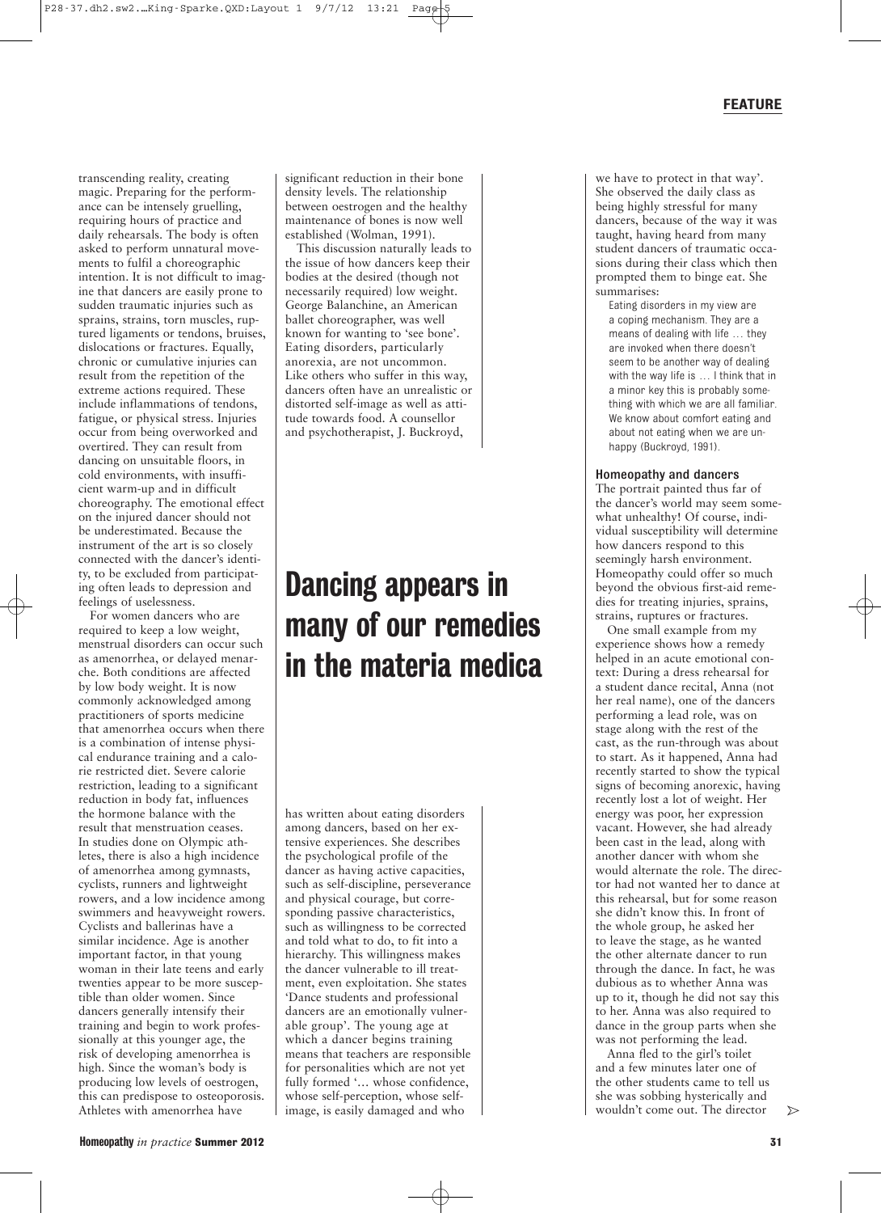transcending reality, creating magic. Preparing for the performance can be intensely gruelling, requiring hours of practice and daily rehearsals. The body is often asked to perform unnatural movements to fulfil a choreographic intention. It is not difficult to imagine that dancers are easily prone to sudden traumatic injuries such as sprains, strains, torn muscles, ruptured ligaments or tendons, bruises, dislocations or fractures. Equally, chronic or cumulative injuries can result from the repetition of the extreme actions required. These include inflammations of tendons, fatigue, or physical stress. Injuries occur from being overworked and overtired. They can result from dancing on unsuitable floors, in cold environments, with insufficient warm-up and in difficult choreography. The emotional effect on the injured dancer should not be underestimated. Because the instrument of the art is so closely connected with the dancer's identity, to be excluded from participating often leads to depression and feelings of uselessness.

For women dancers who are required to keep a low weight, menstrual disorders can occur such as amenorrhea, or delayed menarche. Both conditions are affected by low body weight. It is now commonly acknowledged among practitioners of sports medicine that amenorrhea occurs when there is a combination of intense physical endurance training and a calorie restricted diet. Severe calorie restriction, leading to a significant reduction in body fat, influences the hormone balance with the result that menstruation ceases. In studies done on Olympic athletes, there is also a high incidence of amenorrhea among gymnasts, cyclists, runners and lightweight rowers, and a low incidence among swimmers and heavyweight rowers. Cyclists and ballerinas have a similar incidence. Age is another important factor, in that young woman in their late teens and early twenties appear to be more susceptible than older women. Since dancers generally intensify their training and begin to work professionally at this younger age, the risk of developing amenorrhea is high. Since the woman's body is producing low levels of oestrogen, this can predispose to osteoporosis. Athletes with amenorrhea have

significant reduction in their bone density levels. The relationship between oestrogen and the healthy maintenance of bones is now well established (Wolman, 1991).

This discussion naturally leads to the issue of how dancers keep their bodies at the desired (though not necessarily required) low weight. George Balanchine, an American ballet choreographer, was well known for wanting to 'see bone'. Eating disorders, particularly anorexia, are not uncommon. Like others who suffer in this way, dancers often have an unrealistic or distorted self-image as well as attitude towards food. A counsellor and psychotherapist, J. Buckroyd,

## Dancing appears in many of our remedies in the materia medica

has written about eating disorders among dancers, based on her extensive experiences. She describes the psychological profile of the dancer as having active capacities, such as self-discipline, perseverance and physical courage, but corresponding passive characteristics, such as willingness to be corrected and told what to do, to fit into a hierarchy. This willingness makes the dancer vulnerable to ill treatment, even exploitation. She states 'Dance students and professional dancers are an emotionally vulnerable group'. The young age at which a dancer begins training means that teachers are responsible for personalities which are not yet fully formed '… whose confidence, whose self-perception, whose selfimage, is easily damaged and who

we have to protect in that way'. She observed the daily class as being highly stressful for many dancers, because of the way it was taught, having heard from many student dancers of traumatic occasions during their class which then prompted them to binge eat. She summarises:

Eating disorders in my view are a coping mechanism. They are a means of dealing with life … they are invoked when there doesn't seem to be another way of dealing with the way life is … I think that in a minor key this is probably something with which we are all familiar. We know about comfort eating and about not eating when we are unhappy (Buckroyd, 1991).

## Homeopathy and dancers

The portrait painted thus far of the dancer's world may seem somewhat unhealthy! Of course, individual susceptibility will determine how dancers respond to this seemingly harsh environment. Homeopathy could offer so much beyond the obvious first-aid remedies for treating injuries, sprains, strains, ruptures or fractures.

One small example from my experience shows how a remedy helped in an acute emotional context: During a dress rehearsal for a student dance recital, Anna (not her real name), one of the dancers performing a lead role, was on stage along with the rest of the cast, as the run-through was about to start. As it happened, Anna had recently started to show the typical signs of becoming anorexic, having recently lost a lot of weight. Her energy was poor, her expression vacant. However, she had already been cast in the lead, along with another dancer with whom she would alternate the role. The director had not wanted her to dance at this rehearsal, but for some reason she didn't know this. In front of the whole group, he asked her to leave the stage, as he wanted the other alternate dancer to run through the dance. In fact, he was dubious as to whether Anna was up to it, though he did not say this to her. Anna was also required to dance in the group parts when she was not performing the lead.

Anna fled to the girl's toilet and a few minutes later one of the other students came to tell us she was sobbing hysterically and wouldn't come out. The director

 $\triangleright$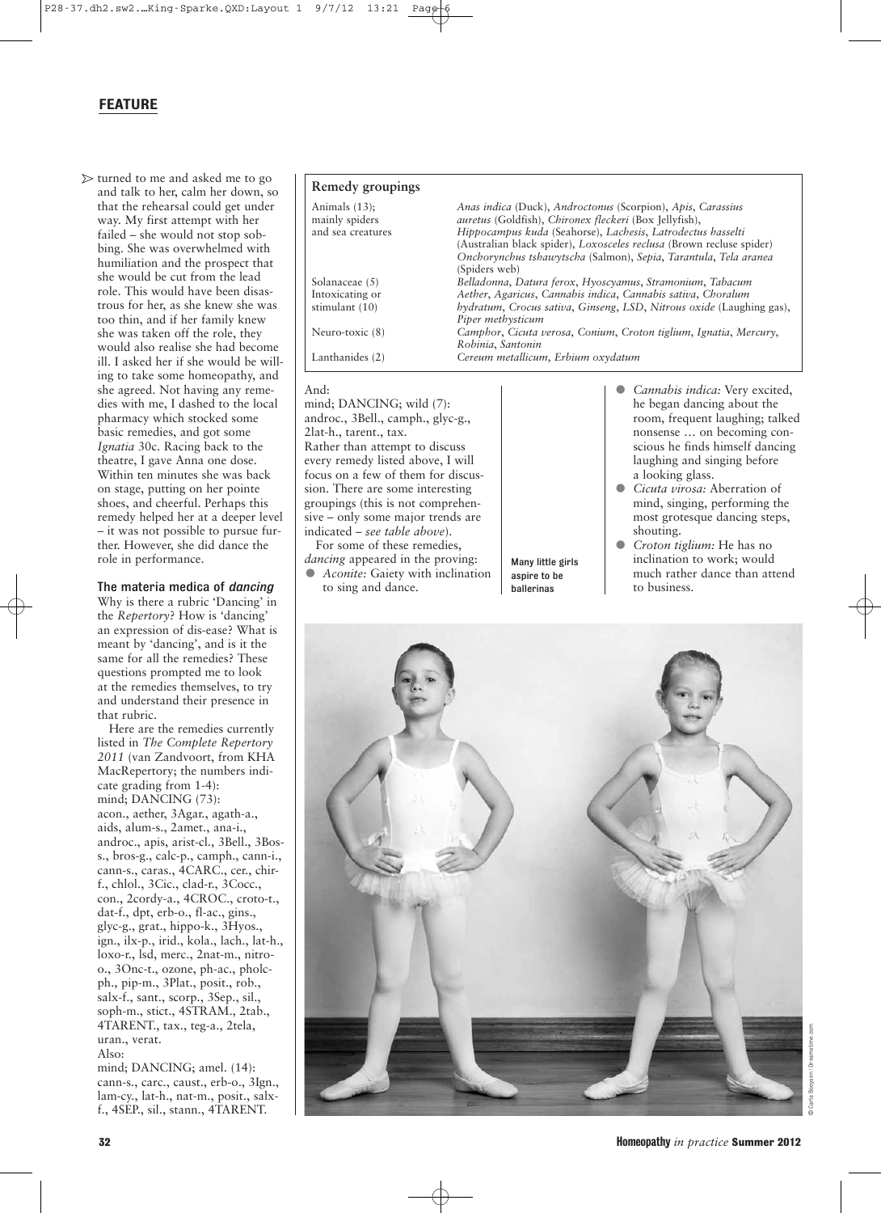## FEATURE

 $\triangleright$  turned to me and asked me to go and talk to her, calm her down, so that the rehearsal could get under way. My first attempt with her failed – she would not stop sobbing. She was overwhelmed with humiliation and the prospect that she would be cut from the lead role. This would have been disastrous for her, as she knew she was too thin, and if her family knew she was taken off the role, they would also realise she had become ill. I asked her if she would be willing to take some homeopathy, and she agreed. Not having any remedies with me, I dashed to the local pharmacy which stocked some basic remedies, and got some *Ignatia* 30c. Racing back to the theatre, I gave Anna one dose. Within ten minutes she was back on stage, putting on her pointe shoes, and cheerful. Perhaps this remedy helped her at a deeper level – it was not possible to pursue further. However, she did dance the role in performance.

## The materia medica of *dancing*

Why is there a rubric 'Dancing' in the *Repertory*? How is 'dancing' an expression of dis-ease? What is meant by 'dancing', and is it the same for all the remedies? These questions prompted me to look at the remedies themselves, to try and understand their presence in that rubric.

Here are the remedies currently listed in *The Complete Repertory 2011* (van Zandvoort, from KHA MacRepertory; the numbers indicate grading from 1-4): mind; DANCING (73): acon., aether, 3Agar., agath-a., aids, alum-s., 2amet., ana-i., androc., apis, arist-cl., 3Bell., 3Boss., bros-g., calc-p., camph., cann-i., cann-s., caras., 4CARC., cer., chirf., chlol., 3Cic., clad-r., 3Cocc., con., 2cordy-a., 4CROC., croto-t., dat-f., dpt, erb-o., fl-ac., gins., glyc-g., grat., hippo-k., 3Hyos., ign., ilx-p., irid., kola., lach., lat-h., loxo-r., lsd, merc., 2nat-m., nitroo., 3Onc-t., ozone, ph-ac., pholcph., pip-m., 3Plat., posit., rob., salx-f., sant., scorp., 3Sep., sil., soph-m., stict., 4STRAM., 2tab., 4TARENT., tax., teg-a., 2tela, uran., verat. Also:

mind; DANCING; amel. (14): cann-s., carc., caust., erb-o., 3Ign., lam-cy., lat-h., nat-m., posit., salxf., 4SEP., sil., stann., 4TARENT.

| Remedy groupings                                        |                                                                                                                                                                                                                                                              |
|---------------------------------------------------------|--------------------------------------------------------------------------------------------------------------------------------------------------------------------------------------------------------------------------------------------------------------|
| Animals $(13)$ ;<br>mainly spiders<br>and sea creatures | Anas indica (Duck), Androctonus (Scorpion), Apis, Carassius<br>auretus (Goldfish), Chironex fleckeri (Box Jellyfish),<br>Hippocampus kuda (Seahorse), Lachesis, Latrodectus hasselti<br>(Australian black spider), Loxosceles reclusa (Brown recluse spider) |
|                                                         | Onchorynchus tshawytscha (Salmon), Sepia, Tarantula, Tela aranea<br>(Spiders web)                                                                                                                                                                            |
| Solanaceae (5)                                          | Belladonna, Datura ferox, Hyoscyamus, Stramonium, Tabacum                                                                                                                                                                                                    |
| Intoxicating or                                         | Aether, Agaricus, Cannabis indica, Cannabis sativa, Choralum                                                                                                                                                                                                 |
| stimulant (10)                                          | hydratum, Crocus sativa, Ginseng, LSD, Nitrous oxide (Laughing gas),<br>Piper methysticum                                                                                                                                                                    |
| Neuro-toxic (8)                                         | Camphor, Cicuta verosa, Conium, Croton tiglium, Ignatia, Mercury,<br>Robinia, Santonin                                                                                                                                                                       |
| Lanthanides (2)                                         | Cereum metallicum, Erbium oxydatum                                                                                                                                                                                                                           |

## And:

mind; DANCING; wild (7): androc., 3Bell., camph., glyc-g., 2lat-h., tarent., tax. Rather than attempt to discuss every remedy listed above, I will focus on a few of them for discussion. There are some interesting groupings (this is not comprehensive – only some major trends are indicated – *see table above*).

For some of these remedies, *dancing* appeared in the proving: • *Aconite:* Gaiety with inclination to sing and dance.

Many little girls aspire to be ballerinas

- *Cannabis indica:* Very excited, he began dancing about the room, frequent laughing; talked nonsense … on becoming conscious he finds himself dancing laughing and singing before a looking glass.
- *Cicuta virosa:* Aberration of mind, singing, performing the most grotesque dancing steps, shouting.
- *Croton tiglium:* He has no inclination to work; would much rather dance than attend to business.



© Carla Booysen | Dreamstime.com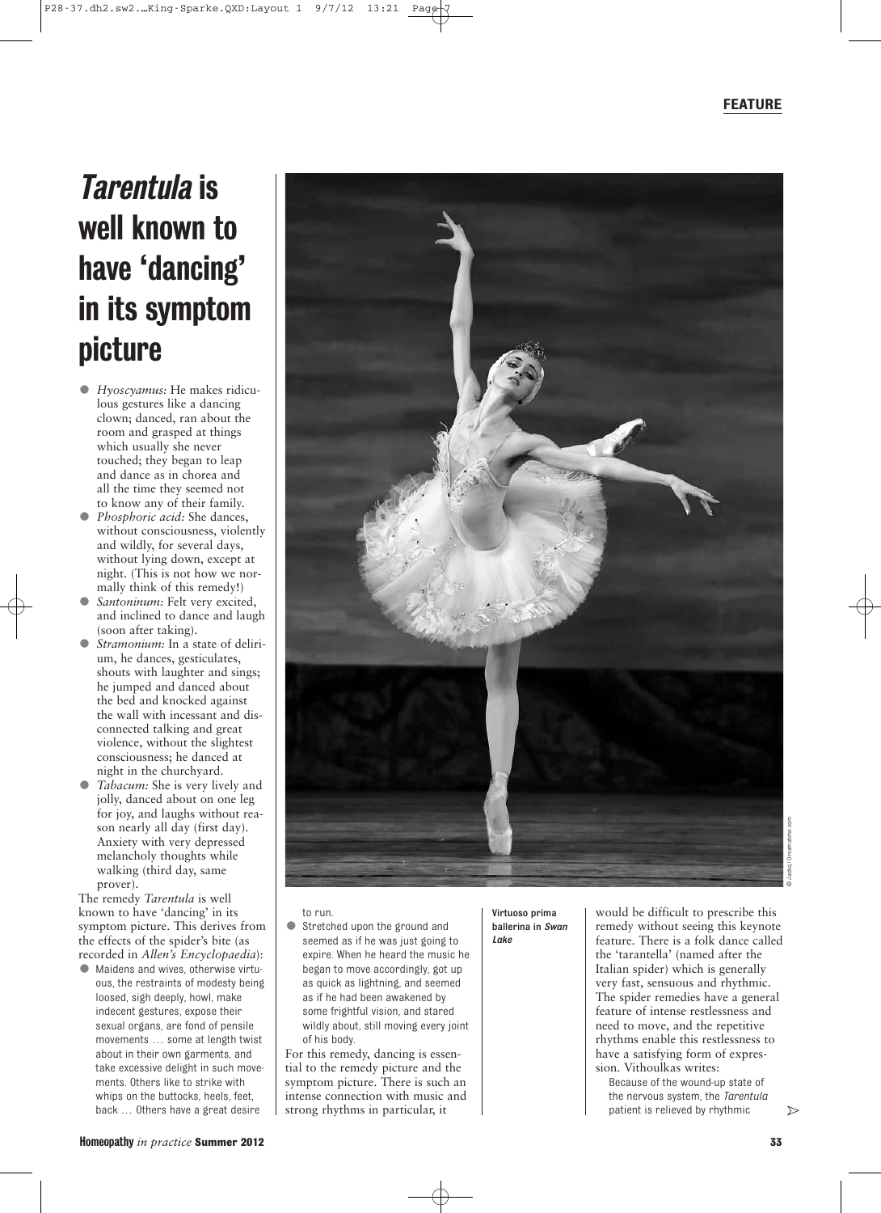## Tarentula is well known to have 'dancing' in its symptom picture

- *Hyoscyamus:* He makes ridiculous gestures like a dancing clown; danced, ran about the room and grasped at things which usually she never touched; they began to leap and dance as in chorea and all the time they seemed not to know any of their family.
- *Phosphoric acid:* She dances, without consciousness, violently and wildly, for several days, without lying down, except at night. (This is not how we normally think of this remedy!)
- Santoninum: Felt very excited, and inclined to dance and laugh (soon after taking).
- *Stramonium:* In a state of delirium, he dances, gesticulates, shouts with laughter and sings; he jumped and danced about the bed and knocked against the wall with incessant and disconnected talking and great violence, without the slightest consciousness; he danced at night in the churchyard.
- *Tabacum:* She is very lively and jolly, danced about on one leg for joy, and laughs without reason nearly all day (first day). Anxiety with very depressed melancholy thoughts while walking (third day, same prover).

The remedy *Tarentula* is well known to have 'dancing' in its symptom picture. This derives from the effects of the spider's bite (as recorded in *Allen's Encyclopaedia*):

• Maidens and wives, otherwise virtuous, the restraints of modesty being loosed, sigh deeply, howl, make indecent gestures, expose their sexual organs, are fond of pensile movements … some at length twist about in their own garments, and take excessive delight in such movements. Others like to strike with whips on the buttocks, heels, feet, back … Others have a great desire



- to run.
- Stretched upon the ground and seemed as if he was just going to expire. When he heard the music he began to move accordingly, got up as quick as lightning, and seemed as if he had been awakened by some frightful vision, and stared wildly about, still moving every joint of his body.

For this remedy, dancing is essential to the remedy picture and the symptom picture. There is such an intense connection with music and strong rhythms in particular, it

Virtuoso prima ballerina in *Swan Lake*

would be difficult to prescribe this remedy without seeing this keynote feature. There is a folk dance called the 'tarantella' (named after the Italian spider) which is generally very fast, sensuous and rhythmic. The spider remedies have a general feature of intense restlessness and need to move, and the repetitive rhythms enable this restlessness to have a satisfying form of expression. Vithoulkas writes:

Because of the wound-up state of the nervous system, the *Tarentula* patient is relieved by rhythmic

 $\triangleright$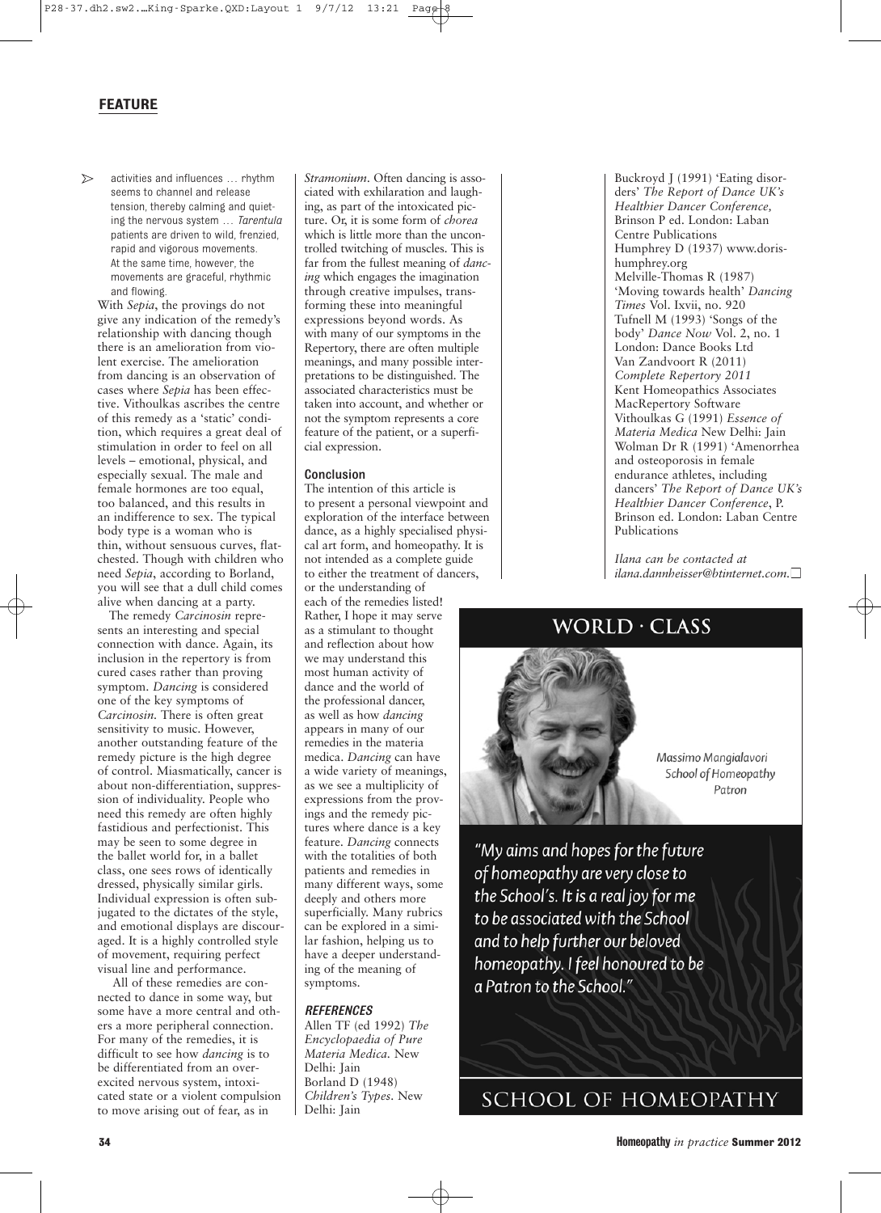## FEATURE

 $\triangleright$ activities and influences … rhythm seems to channel and release tension, thereby calming and quieting the nervous system … *Tarentula* patients are driven to wild, frenzied, rapid and vigorous movements. At the same time, however, the movements are graceful, rhythmic and flowing.

With *Sepia*, the provings do not give any indication of the remedy's relationship with dancing though there is an amelioration from violent exercise. The amelioration from dancing is an observation of cases where *Sepia* has been effective. Vithoulkas ascribes the centre of this remedy as a 'static' condition, which requires a great deal of stimulation in order to feel on all levels – emotional, physical, and especially sexual. The male and female hormones are too equal, too balanced, and this results in an indifference to sex. The typical body type is a woman who is thin, without sensuous curves, flatchested. Though with children who need *Sepia*, according to Borland, you will see that a dull child comes alive when dancing at a party.

The remedy *Carcinosin* represents an interesting and special connection with dance. Again, its inclusion in the repertory is from cured cases rather than proving symptom. *Dancing* is considered one of the key symptoms of *Carcinosin.* There is often great sensitivity to music. However, another outstanding feature of the remedy picture is the high degree of control. Miasmatically, cancer is about non-differentiation, suppression of individuality. People who need this remedy are often highly fastidious and perfectionist. This may be seen to some degree in the ballet world for, in a ballet class, one sees rows of identically dressed, physically similar girls. Individual expression is often subjugated to the dictates of the style, and emotional displays are discouraged. It is a highly controlled style of movement, requiring perfect visual line and performance.

All of these remedies are connected to dance in some way, but some have a more central and others a more peripheral connection. For many of the remedies, it is difficult to see how *dancing* is to be differentiated from an overexcited nervous system, intoxicated state or a violent compulsion to move arising out of fear, as in

*Stramonium*. Often dancing is associated with exhilaration and laughing, as part of the intoxicated picture. Or, it is some form of *chorea* which is little more than the uncontrolled twitching of muscles. This is far from the fullest meaning of *dancing* which engages the imagination through creative impulses, transforming these into meaningful expressions beyond words. As with many of our symptoms in the Repertory, there are often multiple meanings, and many possible interpretations to be distinguished. The associated characteristics must be taken into account, and whether or not the symptom represents a core feature of the patient, or a superficial expression.

## Conclusion

The intention of this article is to present a personal viewpoint and exploration of the interface between dance, as a highly specialised physical art form, and homeopathy. It is not intended as a complete guide to either the treatment of dancers, or the understanding of each of the remedies listed! Rather, I hope it may serve as a stimulant to thought and reflection about how we may understand this most human activity of dance and the world of the professional dancer, as well as how *dancing* appears in many of our remedies in the materia medica. *Dancing* can have a wide variety of meanings, as we see a multiplicity of expressions from the provings and the remedy pictures where dance is a key feature. *Dancing* connects with the totalities of both patients and remedies in many different ways, some deeply and others more superficially. Many rubrics can be explored in a similar fashion, helping us to have a deeper understanding of the meaning of symptoms.

## *REFERENCES*

Allen TF (ed 1992) *The Encyclopaedia of Pure Materia Medica.* New Delhi: Jain Borland D (1948) *Children's Types.* New Delhi: Jain

Buckroyd J (1991) 'Eating disorders' *The Report of Dance UK's Healthier Dancer Conference,* Brinson P ed. London: Laban Centre Publications Humphrey D (1937) www.dorishumphrey.org Melville-Thomas R (1987) 'Moving towards health' *Dancing Times* Vol. Ixvii, no. 920 Tufnell M (1993) 'Songs of the body' *Dance Now* Vol. 2, no. 1 London: Dance Books Ltd Van Zandvoort R (2011) *Complete Repertory 2011* Kent Homeopathics Associates MacRepertory Software Vithoulkas G (1991) *Essence of Materia Medica* New Delhi: Jain Wolman Dr R (1991) 'Amenorrhea and osteoporosis in female endurance athletes, including dancers' *The Report of Dance UK's Healthier Dancer Conference*, P. Brinson ed. London: Laban Centre Publications

*Ilana can be contacted at ilana.dannheisser@btinternet.com.*

## **WORLD · CLASS**



Massimo Mangialavori School of Homeopathy Patron

"My aims and hopes for the future of homeopathy are very close to the School's. It is a real joy for me to be associated with the School and to help further our beloved homeopathy. I feel honoured to be a Patron to the School."

SCHOOL OF HOMEOPATHY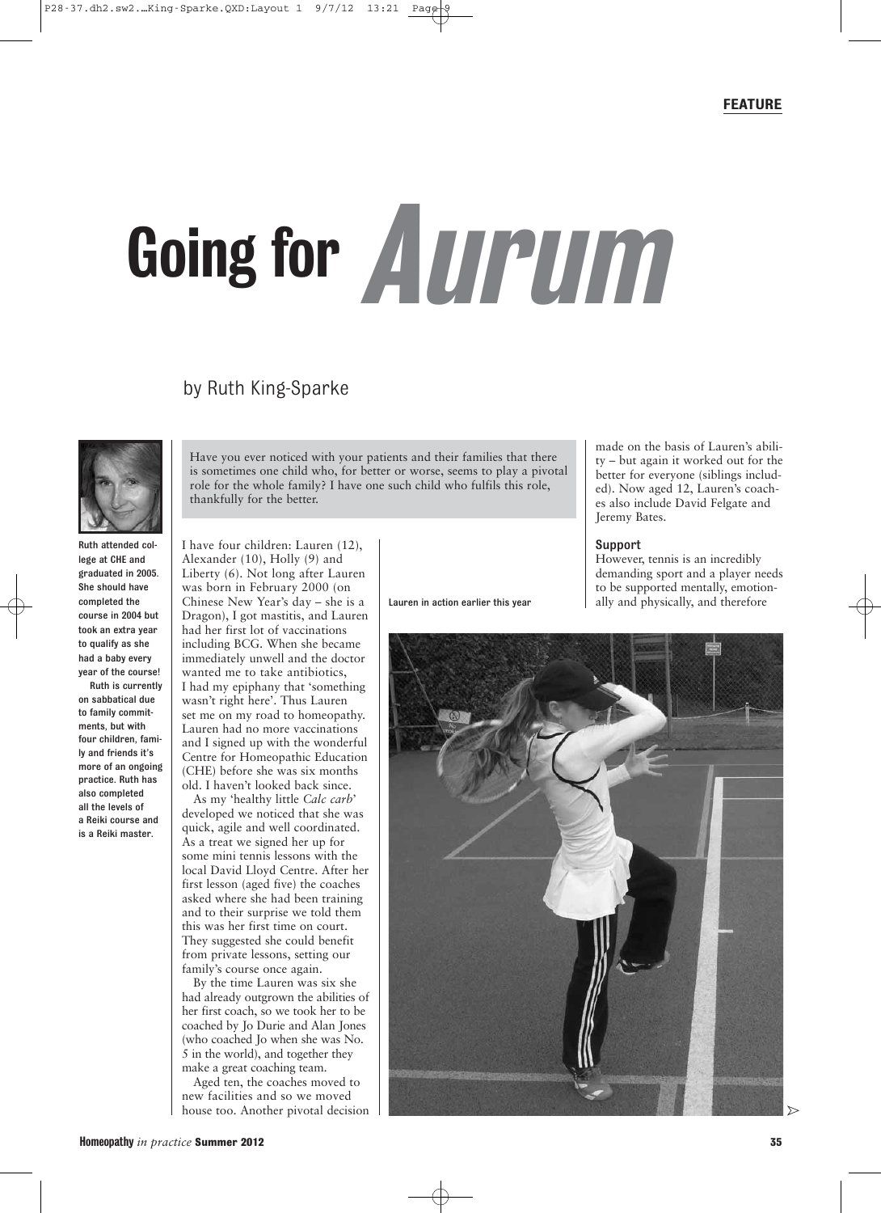made on the basis of Lauren's ability – but again it worked out for the better for everyone (siblings included). Now aged 12, Lauren's coaches also include David Felgate and

However, tennis is an incredibly demanding sport and a player needs to be supported mentally, emotion-

Jeremy Bates.

Support

# Going for Aurum

## by Ruth King-Sparke



Ruth attended college at CHE and graduated in 2005. She should have completed the course in 2004 but took an extra year to qualify as she had a baby every year of the course!

Ruth is currently on sabbatical due to family commitments, but with four children, family and friends it's more of an ongoing practice. Ruth has also completed all the levels of a Reiki course and is a Reiki master.

Have you ever noticed with your patients and their families that there is sometimes one child who, for better or worse, seems to play a pivotal role for the whole family? I have one such child who fulfils this role, thankfully for the better.

I have four children: Lauren (12), Alexander (10), Holly (9) and Liberty (6). Not long after Lauren was born in February 2000 (on Chinese New Year's day – she is a Dragon), I got mastitis, and Lauren had her first lot of vaccinations including BCG. When she became immediately unwell and the doctor wanted me to take antibiotics, I had my epiphany that 'something wasn't right here'. Thus Lauren set me on my road to homeopathy. Lauren had no more vaccinations and I signed up with the wonderful Centre for Homeopathic Education (CHE) before she was six months old. I haven't looked back since.

As my 'healthy little *Calc carb*' developed we noticed that she was quick, agile and well coordinated. As a treat we signed her up for some mini tennis lessons with the local David Lloyd Centre. After her first lesson (aged five) the coaches asked where she had been training and to their surprise we told them this was her first time on court. They suggested she could benefit from private lessons, setting our family's course once again.

By the time Lauren was six she had already outgrown the abilities of her first coach, so we took her to be coached by Jo Durie and Alan Jones (who coached Jo when she was No. 5 in the world), and together they make a great coaching team.

Aged ten, the coaches moved to new facilities and so we moved house too. Another pivotal decision Lauren in action earlier this year

ally and physically, and therefore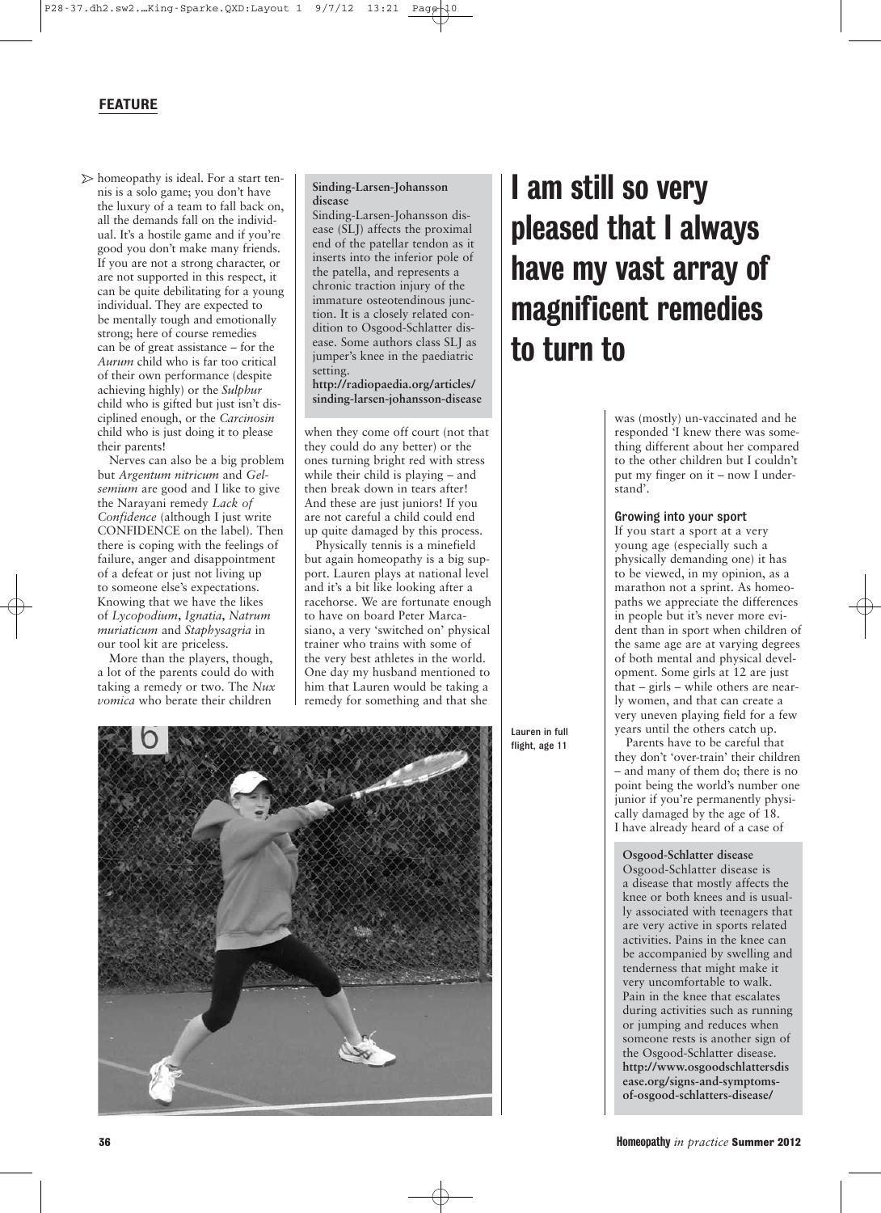## FEATURE

 $\triangleright$  homeopathy is ideal. For a start tennis is a solo game; you don't have the luxury of a team to fall back on, all the demands fall on the individual. It's a hostile game and if you're good you don't make many friends. If you are not a strong character, or are not supported in this respect, it can be quite debilitating for a young individual. They are expected to be mentally tough and emotionally strong; here of course remedies can be of great assistance – for the *Aurum* child who is far too critical of their own performance (despite achieving highly) or the *Sulphur* child who is gifted but just isn't disciplined enough, or the *Carcinosin* child who is just doing it to please their parents!

Nerves can also be a big problem but *Argentum nitricum* and *Gelsemium* are good and I like to give the Narayani remedy *Lack of Confidence* (although I just write CONFIDENCE on the label). Then there is coping with the feelings of failure, anger and disappointment of a defeat or just not living up to someone else's expectations. Knowing that we have the likes of *Lycopodium***,** *Ignatia***,** *Natrum muriaticum* and *Staphysagria* in our tool kit are priceless.

More than the players, though, a lot of the parents could do with taking a remedy or two. The *Nux vomica* who berate their children

## **Sinding-Larsen-Johansson disease**

Sinding-Larsen-Johansson disease (SLJ) affects the proximal end of the patellar tendon as it inserts into the inferior pole of the patella, and represents a chronic traction injury of the immature osteotendinous junction. It is a closely related condition to Osgood-Schlatter disease. Some authors class SLJ as jumper's knee in the paediatric setting.

**http://radiopaedia.org/articles/ sinding-larsen-johansson-disease**

when they come off court (not that they could do any better) or the ones turning bright red with stress while their child is playing – and then break down in tears after! And these are just juniors! If you are not careful a child could end up quite damaged by this process.

Physically tennis is a minefield but again homeopathy is a big support. Lauren plays at national level and it's a bit like looking after a racehorse. We are fortunate enough to have on board Peter Marcasiano, a very 'switched on' physical trainer who trains with some of the very best athletes in the world. One day my husband mentioned to him that Lauren would be taking a remedy for something and that she



## I am still so very pleased that I always have my vast array of magnificent remedies to turn to

was (mostly) un-vaccinated and he responded 'I knew there was something different about her compared to the other children but I couldn't put my finger on it – now I understand'.

## Growing into your sport

If you start a sport at a very young age (especially such a physically demanding one) it has to be viewed, in my opinion, as a marathon not a sprint. As homeopaths we appreciate the differences in people but it's never more evident than in sport when children of the same age are at varying degrees of both mental and physical development. Some girls at 12 are just that – girls – while others are nearly women, and that can create a very uneven playing field for a few years until the others catch up.

Parents have to be careful that they don't 'over-train' their children – and many of them do; there is no point being the world's number one junior if you're permanently physically damaged by the age of 18. I have already heard of a case of

### **Osgood-Schlatter disease**

Osgood-Schlatter disease is a disease that mostly affects the knee or both knees and is usually associated with teenagers that are very active in sports related activities. Pains in the knee can be accompanied by swelling and tenderness that might make it very uncomfortable to walk. Pain in the knee that escalates during activities such as running or jumping and reduces when someone rests is another sign of the Osgood-Schlatter disease. **http://www.osgoodschlattersdis ease.org/signs-and-symptomsof-osgood-schlatters-disease/**